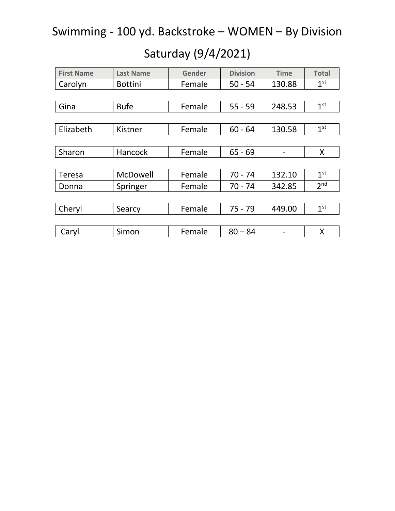| <b>First Name</b> | <b>Last Name</b> | <b>Gender</b> | <b>Division</b> | <b>Time</b> | <b>Total</b>    |
|-------------------|------------------|---------------|-----------------|-------------|-----------------|
| Carolyn           | <b>Bottini</b>   | Female        | $50 - 54$       | 130.88      | 1 <sup>st</sup> |
|                   |                  |               |                 |             |                 |
| Gina              | <b>Bufe</b>      | Female        | $55 - 59$       | 248.53      | 1 <sup>st</sup> |
|                   |                  |               |                 |             |                 |
| Elizabeth         | Kistner          | Female        | $60 - 64$       | 130.58      | 1 <sup>st</sup> |
|                   |                  |               |                 |             |                 |
| Sharon            | Hancock          | Female        | $65 - 69$       |             | X               |
|                   |                  |               |                 |             |                 |
| <b>Teresa</b>     | McDowell         | Female        | $70 - 74$       | 132.10      | 1 <sup>st</sup> |
| Donna             | Springer         | Female        | $70 - 74$       | 342.85      | 2 <sub>nd</sub> |
|                   |                  |               |                 |             |                 |
| Cheryl            | Searcy           | Female        | $75 - 79$       | 449.00      | 1 <sup>st</sup> |
|                   |                  |               |                 |             |                 |
| Caryl             | Simon            | Female        | $80 - 84$       |             | X               |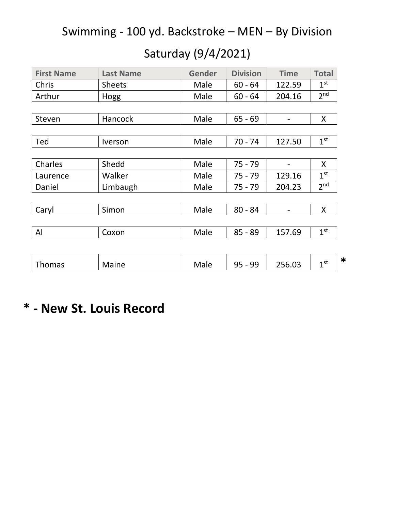### Saturday (9/4/2021)

| <b>First Name</b> | <b>Last Name</b>             | <b>Gender</b> | <b>Division</b> | <b>Time</b> | <b>Total</b>              |
|-------------------|------------------------------|---------------|-----------------|-------------|---------------------------|
| Chris             | <b>Sheets</b>                | Male          | $60 - 64$       | 122.59      | 1 <sup>st</sup>           |
| Arthur            | Hogg                         | Male          | $60 - 64$       | 204.16      | 2 <sup>nd</sup>           |
|                   |                              |               |                 |             |                           |
| Steven            | <b>Hancock</b>               | Male          | $65 - 69$       |             | X                         |
|                   |                              |               |                 |             |                           |
| Ted               | <i><u><b>Iverson</b></u></i> | Male          | $70 - 74$       | 127.50      | 1 <sup>st</sup>           |
|                   |                              |               |                 |             |                           |
| Charles           | Shedd                        | Male          | $75 - 79$       |             | X                         |
| Laurence          | Walker                       | Male          | $75 - 79$       | 129.16      | 1 <sup>st</sup>           |
| Daniel            | Limbaugh                     | Male          | $75 - 79$       | 204.23      | 2 <sup>nd</sup>           |
|                   |                              |               |                 |             |                           |
| Caryl             | Simon                        | Male          | $80 - 84$       |             | X                         |
|                   |                              |               |                 |             |                           |
| AI                | Coxon                        | Male          | $85 - 89$       | 157.69      | 1 <sup>st</sup>           |
|                   |                              |               |                 |             |                           |
| <b>Thomas</b>     | Maine                        | Male          | $95 - 99$       | 256.03      | $\ast$<br>1 <sup>st</sup> |

### **\* - New St. Louis Record**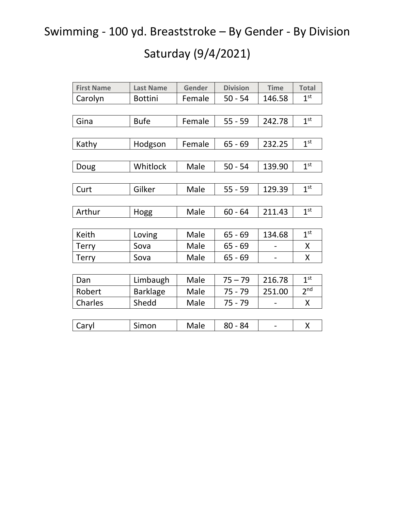## Swimming - 100 yd. Breaststroke – By Gender - By Division

| <b>First Name</b> | <b>Last Name</b> | Gender | <b>Division</b> | <b>Time</b> | <b>Total</b>    |
|-------------------|------------------|--------|-----------------|-------------|-----------------|
| Carolyn           | <b>Bottini</b>   | Female | $50 - 54$       | 146.58      | 1 <sup>st</sup> |
|                   |                  |        |                 |             |                 |
| Gina              | <b>Bufe</b>      | Female | $55 - 59$       | 242.78      | 1 <sup>st</sup> |
|                   |                  |        |                 |             |                 |
| Kathy             | Hodgson          | Female | $65 - 69$       | 232.25      | 1 <sup>st</sup> |
|                   |                  |        |                 |             |                 |
| Doug              | Whitlock         | Male   | $50 - 54$       | 139.90      | 1 <sup>st</sup> |
|                   |                  |        |                 |             |                 |
| Curt              | Gilker           | Male   | $55 - 59$       | 129.39      | 1 <sup>st</sup> |
|                   |                  |        |                 |             |                 |
| Arthur            | Hogg             | Male   | $60 - 64$       | 211.43      | 1 <sup>st</sup> |
|                   |                  |        |                 |             |                 |
| Keith             | Loving           | Male   | $65 - 69$       | 134.68      | 1 <sup>st</sup> |
| <b>Terry</b>      | Sova             | Male   | $65 - 69$       |             | X               |
| <b>Terry</b>      | Sova             | Male   | $65 - 69$       |             | X               |
|                   |                  |        |                 |             |                 |
| Dan               | Limbaugh         | Male   | $75 - 79$       | 216.78      | 1 <sup>st</sup> |
| Robert            | <b>Barklage</b>  | Male   | $75 - 79$       | 251.00      | 2 <sup>nd</sup> |
| Charles           | Shedd            | Male   | 75 - 79         |             | X               |
|                   |                  |        |                 |             |                 |
| Caryl             | Simon            | Male   | $80 - 84$       |             | X               |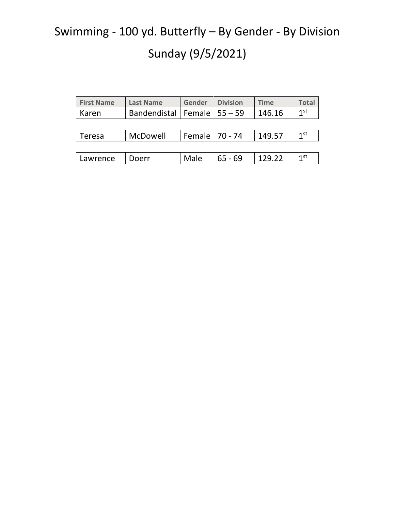# Swimming - 100 yd. Butterfly – By Gender - By Division Sunday (9/5/2021)

| <b>First Name</b> | <b>Last Name</b>      | Gender           | <b>Division</b> | <b>Time</b> | <b>Total</b>    |
|-------------------|-----------------------|------------------|-----------------|-------------|-----------------|
| Karen             | Bandendistal   Female |                  | l 55 – 59       | 146.16      | 1 <sup>st</sup> |
|                   |                       |                  |                 |             |                 |
| Teresa            | McDowell              | Female   70 - 74 |                 | 149.57      | 1 <sup>st</sup> |
|                   |                       |                  |                 |             |                 |
| Lawrence          | Doerr                 | Male             | $65 - 69$       | 129.22      | 1 <sup>st</sup> |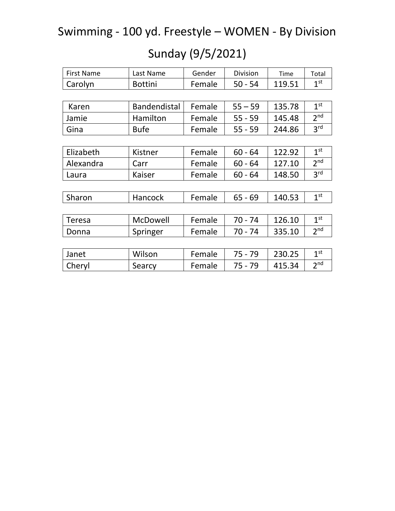### Swimming - 100 yd. Freestyle – WOMEN - By Division

| Sunday (9/5/2021) |  |  |
|-------------------|--|--|
|-------------------|--|--|

| <b>First Name</b> | Last Name           | Gender | <b>Division</b> | Time   | Total           |
|-------------------|---------------------|--------|-----------------|--------|-----------------|
| Carolyn           | <b>Bottini</b>      | Female | $50 - 54$       | 119.51 | 1 <sup>st</sup> |
|                   |                     |        |                 |        |                 |
| Karen             | <b>Bandendistal</b> | Female | $55 - 59$       | 135.78 | 1 <sup>st</sup> |
| Jamie             | Hamilton            | Female | $55 - 59$       | 145.48 | 2 <sub>nd</sub> |
| Gina              | <b>Bufe</b>         | Female | $55 - 59$       | 244.86 | 3 <sup>rd</sup> |
|                   |                     |        |                 |        |                 |
| Elizabeth         | Kistner             | Female | $60 - 64$       | 122.92 | 1 <sup>st</sup> |
| Alexandra         | Carr                | Female | $60 - 64$       | 127.10 | 2 <sup>nd</sup> |
| Laura             | Kaiser              | Female | $60 - 64$       | 148.50 | 3 <sup>rd</sup> |
|                   |                     |        |                 |        |                 |
| Sharon            | Hancock             | Female | $65 - 69$       | 140.53 | 1 <sup>st</sup> |
|                   |                     |        |                 |        |                 |
| <b>Teresa</b>     | McDowell            | Female | $70 - 74$       | 126.10 | 1 <sup>st</sup> |
| Donna             | Springer            | Female | $70 - 74$       | 335.10 | 2 <sub>nd</sub> |
|                   |                     |        |                 |        |                 |
| Janet             | Wilson              | Female | 75 - 79         | 230.25 | 1 <sup>st</sup> |
| Cheryl            | Searcy              | Female | $75 - 79$       | 415.34 | 2 <sup>nd</sup> |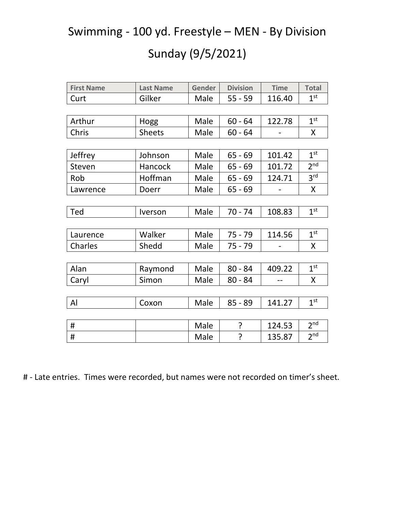### Swimming - 100 yd. Freestyle – MEN - By Division

### Sunday (9/5/2021)

| <b>First Name</b> | <b>Last Name</b> | Gender | <b>Division</b> | <b>Time</b> | <b>Total</b>    |
|-------------------|------------------|--------|-----------------|-------------|-----------------|
| Curt              | Gilker           | Male   | $55 - 59$       | 116.40      | 1 <sup>st</sup> |
|                   |                  |        |                 |             |                 |
|                   |                  |        |                 |             |                 |
| Arthur            | Hogg             | Male   | $60 - 64$       | 122.78      | 1 <sup>st</sup> |
| Chris             | <b>Sheets</b>    | Male   | $60 - 64$       |             | X               |
|                   |                  |        |                 |             |                 |
| Jeffrey           | Johnson          | Male   | $65 - 69$       | 101.42      | 1 <sup>st</sup> |
| Steven            | Hancock          | Male   | $65 - 69$       | 101.72      | 2 <sup>nd</sup> |
| Rob               | Hoffman          | Male   | $65 - 69$       | 124.71      | 3 <sup>rd</sup> |
| Lawrence          | Doerr            | Male   | $65 - 69$       |             | X               |
|                   |                  |        |                 |             |                 |
| Ted               | Iverson          | Male   | $70 - 74$       | 108.83      | 1 <sup>st</sup> |
|                   |                  |        |                 |             |                 |
| Laurence          | Walker           | Male   | $75 - 79$       | 114.56      | 1 <sup>st</sup> |
| Charles           | Shedd            | Male   | $75 - 79$       |             | X               |
|                   |                  |        |                 |             |                 |
| Alan              | Raymond          | Male   | $80 - 84$       | 409.22      | 1 <sup>st</sup> |
| Caryl             | Simon            | Male   | $80 - 84$       |             | X               |
|                   |                  |        |                 |             |                 |
| AI                | Coxon            | Male   | $85 - 89$       | 141.27      | 1 <sup>st</sup> |
|                   |                  |        |                 |             |                 |
| #                 |                  | Male   | ?               | 124.53      | 2 <sub>nd</sub> |
| $\#$              |                  | Male   | ?               | 135.87      | 2 <sup>nd</sup> |

# - Late entries. Times were recorded, but names were not recorded on timer's sheet.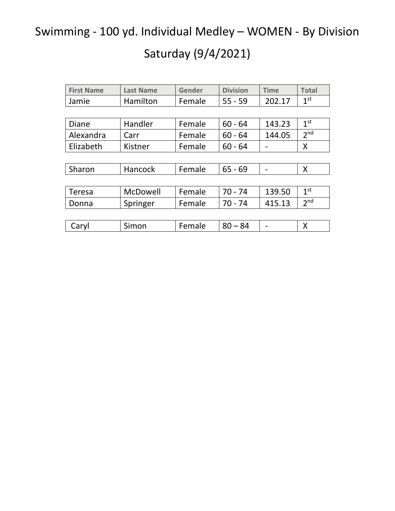Swimming - 100 yd. Individual Medley – WOMEN - By Division

| <b>First Name</b> | <b>Last Name</b> | Gender | <b>Division</b> | <b>Time</b> | <b>Total</b>    |
|-------------------|------------------|--------|-----------------|-------------|-----------------|
| Jamie             | Hamilton         | Female | $55 - 59$       | 202.17      | 1 <sup>st</sup> |
|                   |                  |        |                 |             |                 |
| <b>Diane</b>      | Handler          | Female | $60 - 64$       | 143.23      | 1 <sup>st</sup> |
| Alexandra         | Carr             | Female | $60 - 64$       | 144.05      | 2 <sub>nd</sub> |
| Elizabeth         | Kistner          | Female | $60 - 64$       |             | X               |
|                   |                  |        |                 |             |                 |
| Sharon            | Hancock          | Female | $65 - 69$       |             | X               |
|                   |                  |        |                 |             |                 |
| Teresa            | McDowell         | Female | $70 - 74$       | 139.50      | 1 <sup>st</sup> |
| Donna             | Springer         | Female | $70 - 74$       | 415.13      | 2 <sub>nd</sub> |
|                   |                  |        |                 |             |                 |
| Caryl             | Simon            | Female | $80 - 84$       |             | X               |
|                   |                  |        |                 |             |                 |